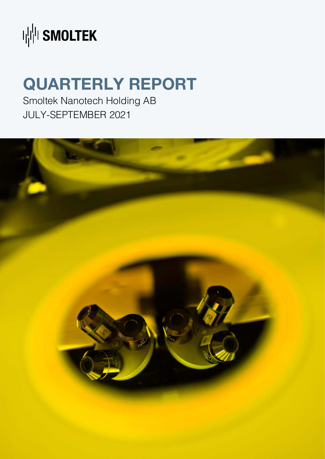

## **QUARTERLY REPORT**

Smoltek Nanotech Holding AB JULY-SEPTEMBER 2021

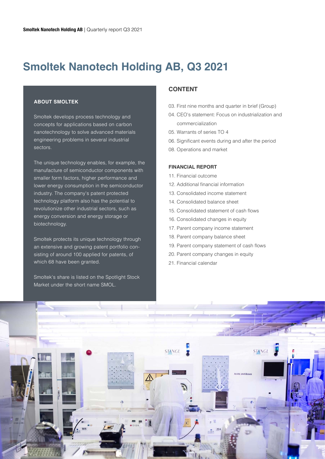### **Smoltek Nanotech Holding AB, Q3 2021**

#### **ABOUT SMOLTEK**

Smoltek develops process technology and concepts for applications based on carbon nanotechnology to solve advanced materials engineering problems in several industrial sectors.

The unique technology enables, for example, the manufacture of semiconductor components with smaller form factors, higher performance and lower energy consumption in the semiconductor industry. The company's patent protected technology platform also has the potential to revolutionize other industrial sectors, such as energy conversion and energy storage or biotechnology.

Smoltek protects its unique technology through an extensive and growing patent portfolio consisting of around 100 applied for patents, of which 68 have been granted.

Smoltek's share is listed on the Spotlight Stock Market under the short name SMOL.

#### **CONTENT**

- 03. First nine months and quarter in brief (Group)
- 04. CEO's statement: Focus on industrialization and commercialization
- 05. Warrants of series TO 4
- 06. Significant events during and after the period
- 08. Operations and market

#### **FINANCIAL REPORT**

- 11. Financial outcome
- 12. Additional financial information
- 13. Consolidated income statement
- 14. Consolidated balance sheet
- 15. Consolidated statement of cash flows
- 16. Consolidated changes in equity
- 17. Parent company income statement
- 18. Parent company balance sheet
- 19. Parent company statement of cash flows
- 20. Parent company changes in equity
- 21. Financial calendar

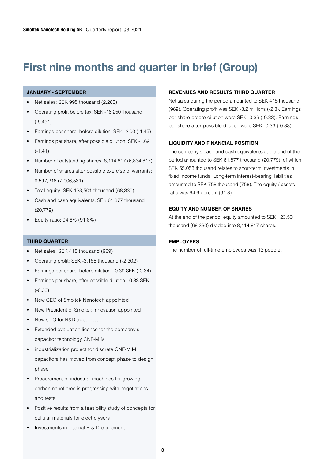### **First nine months and quarter in brief (Group)**

#### **JANUARY - SEPTEMBER**

- Net sales: SEK 995 thousand (2,260)
- Operating profit before tax: SEK -16,250 thousand (-9,451)
- Earnings per share, before dilution: SEK -2.00 (-1.45)
- Earnings per share, after possible dilution: SEK -1.69 (-1.41)
- Number of outstanding shares: 8,114,817 (6,834,817)
- Number of shares after possible exercise of warrants: 9,597,218 (7,006,531)
- Total equity: SEK 123,501 thousand (68,330)
- Cash and cash equivalents: SEK 61,877 thousand (20,779)
- Equity ratio: 94.6% (91.8%)

#### **THIRD QUARTER**

- Net sales: SEK 418 thousand (969)
- Operating profit: SEK -3,185 thousand (-2,302)
- Earnings per share, before dilution: -0.39 SEK (-0.34)
- Earnings per share, after possible dilution: -0.33 SEK (-0.33)
- New CEO of Smoltek Nanotech appointed
- New President of Smoltek Innovation appointed
- New CTO for R&D appointed
- Extended evaluation license for the company's capacitor technology CNF-MIM
- industrialization project for discrete CNF-MIM capacitors has moved from concept phase to design phase
- Procurement of industrial machines for growing carbon nanofibres is progressing with negotiations and tests
- Positive results from a feasibility study of concepts for cellular materials for electrolysers
- Investments in internal R & D equipment

#### **REVENUES AND RESULTS THIRD QUARTER**

Net sales during the period amounted to SEK 418 thousand (969). Operating profit was SEK -3.2 millions (-2.3). Earnings per share before dilution were SEK -0.39 (-0.33). Earnings per share after possible dilution were SEK -0.33 (-0.33).

#### **LIQUIDITY AND FINANCIAL POSITION**

The company's cash and cash equivalents at the end of the period amounted to SEK 61,877 thousand (20,779), of which SEK 55,058 thousand relates to short-term investments in fixed income funds. Long-term interest-bearing liabilities amounted to SEK 758 thousand (758). The equity / assets ratio was 94.6 percent (91.8).

#### **EQUITY AND NUMBER OF SHARES**

At the end of the period, equity amounted to SEK 123,501 thousand (68,330) divided into 8,114,817 shares.

#### **EMPLOYEES**

The number of full-time employees was 13 people.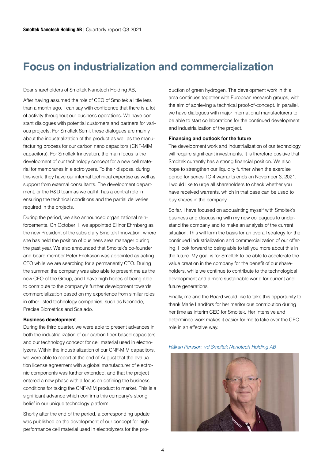### **Focus on industrialization and commercialization**

#### Dear shareholders of Smoltek Nanotech Holding AB,

After having assumed the role of CEO of Smoltek a little less than a month ago, I can say with confidence that there is a lot of activity throughout our business operations. We have constant dialogues with potential customers and partners for various projects. For Smoltek Semi, these dialogues are mainly about the industrialization of the product as well as the manufacturing process for our carbon nano capacitors (CNF-MIM capacitors). For Smoltek Innovation, the main focus is the development of our technology concept for a new cell material for membranes in electrolyzers. To their disposal during this work, they have our internal technical expertise as well as support from external consultants. The development department, or the R&D team as we call it, has a central role in ensuring the technical conditions and the partial deliveries required in the projects.

During the period, we also announced organizational reinforcements. On October 1, we appointed Ellinor Ehrnberg as the new President of the subsidiary Smoltek Innovation, where she has held the position of business area manager during the past year. We also announced that Smoltek's co-founder and board member Peter Enoksson was appointed as acting CTO while we are searching for a permanently CTO. During the summer, the company was also able to present me as the new CEO of the Group, and I have high hopes of being able to contribute to the company's further development towards commercialization based on my experience from similar roles in other listed technology companies, such as Neonode, Precise Biometrics and Scalado.

#### **Business development**

During the third quarter, we were able to present advances in both the industrialization of our carbon fiber-based capacitors and our technology concept for cell material used in electrolyzers. Within the industrialization of our CNF-MIM capacitors, we were able to report at the end of August that the evaluation license agreement with a global manufacturer of electronic components was further extended, and that the project entered a new phase with a focus on defining the business conditions for taking the CNF-MIM product to market. This is a significant advance which confirms this company's strong belief in our unique technology platform.

Shortly after the end of the period, a corresponding update was published on the development of our concept for highperformance cell material used in electrolyzers for the pro-

duction of green hydrogen. The development work in this area continues together with European research groups, with the aim of achieving a technical proof-of-concept. In parallel, we have dialogues with major international manufacturers to be able to start collaborations for the continued development and industrialization of the project.

#### **Financing and outlook for the future**

The development work and industrialization of our technology will require significant investments. It is therefore positive that Smoltek currently has a strong financial position. We also hope to strengthen our liquidity further when the exercise period for series TO 4 warrants ends on November 3, 2021. I would like to urge all shareholders to check whether you have received warrants, which in that case can be used to buy shares in the company.

So far, I have focused on acquainting myself with Smoltek's business and discussing with my new colleagues to understand the company and to make an analysis of the current situation. This will form the basis for an overall strategy for the continued industrialization and commercialization of our offering. I look forward to being able to tell you more about this in the future. My goal is for Smoltek to be able to accelerate the value creation in the company for the benefit of our shareholders, while we continue to contribute to the technological development and a more sustainable world for current and future generations.

Finally, me and the Board would like to take this opportunity to thank Marie Landfors for her meritorious contribution during her time as interim CEO for Smoltek. Her intensive and determined work makes it easier for me to take over the CEO role in an effective way.

*Håkan Persson, vd Smoltek Nanotech Holding AB*

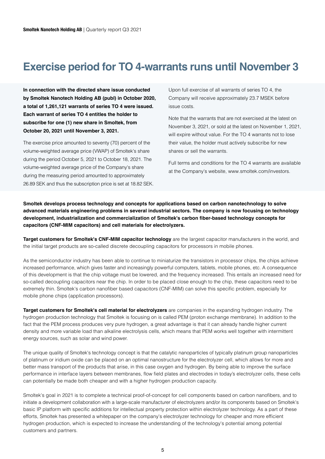### **Exercise period for TO 4-warrants runs until November 3**

**In connection with the directed share issue conducted by Smoltek Nanotech Holding AB (publ) in October 2020, a total of 1,261,121 warrants of series TO 4 were issued. Each warrant of series TO 4 entitles the holder to subscribe for one (1) new share in Smoltek, from October 20, 2021 until November 3, 2021.**

The exercise price amounted to seventy (70) percent of the volume-weighted average price (VWAP) of Smoltek's share during the period October 5, 2021 to October 18, 2021. The volume-weighted average price of the Company's share during the measuring period amounted to approximately 26.89 SEK and thus the subscription price is set at 18.82 SEK.

Upon full exercise of all warrants of series TO 4, the Company will receive approximately 23.7 MSEK before issue costs.

Note that the warrants that are not exercised at the latest on November 3, 2021, or sold at the latest on November 1, 2021, will expire without value. For the TO 4 warrants not to lose their value, the holder must actively subscribe for new shares or sell the warrants.

Full terms and conditions for the TO 4 warrants are available at the Company's website, www.smoltek.com/investors.

**Smoltek develops process technology and concepts for applications based on carbon nanotechnology to solve advanced materials engineering problems in several industrial sectors. The company is now focusing on technology development, industrialization and commercialization of Smoltek's carbon fiber-based technology concepts for capacitors (CNF-MIM capacitors) and cell materials for electrolyzers.**

**Target customers for Smoltek's CNF-MIM capacitor technology** are the largest capacitor manufacturers in the world, and the initial target products are so-called discrete decoupling capacitors for processors in mobile phones.

As the semiconductor industry has been able to continue to miniaturize the transistors in processor chips, the chips achieve increased performance, which gives faster and increasingly powerful computers, tablets, mobile phones, etc. A consequence of this development is that the chip voltage must be lowered, and the frequency increased. This entails an increased need for so-called decoupling capacitors near the chip. In order to be placed close enough to the chip, these capacitors need to be extremely thin. Smoltek's carbon nanofiber based capacitors (CNF-MIM) can solve this specific problem, especially for mobile phone chips (application processors).

**Target customers for Smoltek's cell material for electrolyzers** are companies in the expanding hydrogen industry. The hydrogen production technology that Smoltek is focusing on is called PEM (proton exchange membrane). In addition to the fact that the PEM process produces very pure hydrogen, a great advantage is that it can already handle higher current density and more variable load than alkaline electrolysis cells, which means that PEM works well together with intermittent energy sources, such as solar and wind power.

The unique quality of Smoltek's technology concept is that the catalytic nanoparticles of typically platinum group nanoparticles of platinum or iridium oxide can be placed on an optimal nanostructure for the electrolyzer cell, which allows for more and better mass transport of the products that arise, in this case oxygen and hydrogen. By being able to improve the surface performance in interface layers between membranes, flow field plates and electrodes in today's electrolyzer cells, these cells can potentially be made both cheaper and with a higher hydrogen production capacity.

Smoltek's goal in 2021 is to complete a technical proof-of-concept for cell components based on carbon nanofibers, and to initiate a development collaboration with a large-scale manufacturer of electrolyzers and/or its components based on Smoltek's basic IP platform with specific additions for intellectual property protection within electrolyzer technology. As a part of these efforts, Smoltek has presented a whitepaper on the company's electrolyzer technology for cheaper and more efficient hydrogen production, which is expected to increase the understanding of the technology's potential among potential customers and partners.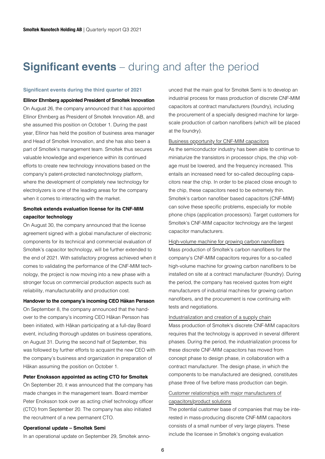### **Significant events** – during and after the period

#### **Significant events during the third quarter of 2021**

**Ellinor Ehrnberg appointed President of Smoltek Innovation** On August 26, the company announced that it has appointed Ellinor Ehrnberg as President of Smoltek Innovation AB, and she assumed this position on October 1. During the past year, Ellinor has held the position of business area manager and Head of Smoltek Innovation, and she has also been a part of Smoltek's management team. Smoltek thus secures valuable knowledge and experience within its continued efforts to create new technology innovations based on the company's patent-protected nanotechnology platform, where the development of completely new technology for electrolyzers is one of the leading areas for the company when it comes to interacting with the market.

#### **Smoltek extends evaluation license for its CNF-MIM capacitor technology**

On August 30, the company announced that the license agreement signed with a global manufacturer of electronic components for its technical and commercial evaluation of Smoltek's capacitor technology, will be further extended to the end of 2021. With satisfactory progress achieved when it comes to validating the performance of the CNF-MIM technology, the project is now moving into a new phase with a stronger focus on commercial production aspects such as reliability, manufacturability and production cost.

#### **Handover to the company's incoming CEO Håkan Persson**

On September 8, the company announced that the handover to the company's incoming CEO Håkan Persson has been initiated, with Håkan participating at a full-day Board event, including thorough updates on business operations, on August 31. During the second half of September, this was followed by further efforts to acquaint the new CEO with the company's business and organization in preparation of Håkan assuming the position on October 1.

#### **Peter Enoksson appointed as acting CTO for Smoltek**

On September 20, it was announced that the company has made changes in the management team. Board member Peter Enoksson took over as acting chief technology officer (CTO) from September 20. The company has also initiated the recruitment of a new permanent CTO.

#### **Operational update – Smoltek Semi**

In an operational update on September 29, Smoltek anno-

unced that the main goal for Smoltek Semi is to develop an industrial process for mass production of discrete CNF-MIM capacitors at contract manufacturers (foundry), including the procurement of a specially designed machine for largescale production of carbon nanofibers (which will be placed at the foundry).

#### Business opportunity for CNF-MIM capacitors

As the semiconductor industry has been able to continue to miniaturize the transistors in processor chips, the chip voltage must be lowered, and the frequency increased. This entails an increased need for so-called decoupling capacitors near the chip. In order to be placed close enough to the chip, these capacitors need to be extremely thin. Smoltek's carbon nanofiber based capacitors (CNF-MIM) can solve these specific problems, especially for mobile phone chips (application processors). Target customers for Smoltek's CNF-MIM capacitor technology are the largest capacitor manufacturers.

#### High-volume machine for growing carbon nanofibers

Mass production of Smoltek's carbon nanofibers for the company's CNF-MIM capacitors requires for a so-called high-volume machine for growing carbon nanofibers to be installed on site at a contract manufacturer (foundry). During the period, the company has received quotes from eight manufacturers of industrial machines for growing carbon nanofibers, and the procurement is now continuing with tests and negotiations.

#### Industrialization and creation of a supply chain

Mass production of Smoltek's discrete CNF-MIM capacitors requires that the technology is approved in several different phases. During the period, the industrialization process for these discrete CNF-MIM capacitors has moved from concept phase to design phase, in collaboration with a contract manufacturer. The design phase, in which the components to be manufactured are designed, constitutes phase three of five before mass production can begin.

#### Customer relationships with major manufacturers of capacitors/product solutions

The potential customer base of companies that may be interested in mass-producing discrete CNF-MIM capacitors consists of a small number of very large players. These include the licensee in Smoltek's ongoing evaluation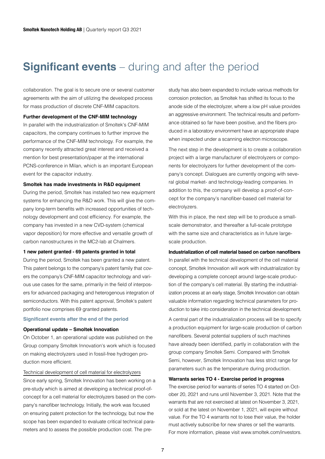### **Significant events** – during and after the period

collaboration. The goal is to secure one or several customer agreements with the aim of utilizing the developed process for mass production of discrete CNF-MIM capacitors.

#### **Further development of the CNF-MIM technology**

In parallel with the industrialization of Smoltek's CNF-MIM capacitors, the company continues to further improve the performance of the CNF-MIM technology. For example, the company recently attracted great interest and received a mention for best presentation/paper at the international PCNS-conference in Milan, which is an important European event for the capacitor industry.

#### **Smoltek has made investments in R&D equipment**

During the period, Smoltek has installed two new equipment systems for enhancing the R&D work. This will give the company long-term benefits with increased opportunities of technology development and cost efficiency. For example, the company has invested in a new CVD-system (chemical vapor deposition) for more effective and versatile growth of carbon nanostructures in the MC2-lab at Chalmers.

#### **1 new patent granted - 69 patents granted in total**

During the period, Smoltek has been granted a new patent. This patent belongs to the company's patent family that covers the company's CNF-MIM capacitor technology and various use cases for the same, primarily in the field of interposers for advanced packaging and heterogenous integration of semiconductors. With this patent approval, Smoltek's patent portfolio now comprises 69 granted patents.

#### **Significant events after the end of the period**

#### **Operational update – Smoltek Innovation**

On October 1, an operational update was published on the Group company Smoltek Innovation's work which is focused on making electrolyzers used in fossil-free hydrogen production more efficient.

#### Technical development of cell material for electrolyzers

Since early spring, Smoltek Innovation has been working on a pre-study which is aimed at developing a technical proof-ofconcept for a cell material for electrolyzers based on the company's nanofiber technology. Initially, the work was focused on ensuring patent protection for the technology, but now the scope has been expanded to evaluate critical technical parameters and to assess the possible production cost. The pre-

study has also been expanded to include various methods for corrosion protection, as Smoltek has shifted its focus to the anode side of the electrolyzer, where a low pH value provides an aggressive environment. The technical results and performance obtained so far have been positive, and the fibers produced in a laboratory environment have an appropriate shape when inspected under a scanning electron microscope.

The next step in the development is to create a collaboration project with a large manufacturer of electrolyzers or components for electrolyzers for further development of the company's concept. Dialogues are currently ongoing with several global market- and technology-leading companies. In addition to this, the company will develop a proof-of-concept for the company's nanofiber-based cell material for electrolyzers.

With this in place, the next step will be to produce a smallscale demonstrator, and thereafter a full-scale prototype with the same size and characteristics as in future largescale production.

#### **Industrialization of cell material based on carbon nanofibers**

In parallel with the technical development of the cell material concept, Smoltek Innovation will work with industrialization by developing a complete concept around large-scale production of the company's cell material. By starting the industrialization process at an early stage, Smoltek Innovation can obtain valuable information regarding technical parameters for production to take into consideration in the technical development.

A central part of the industrialization process will be to specify a production equipment for large-scale production of carbon nanofibers. Several potential suppliers of such machines have already been identified, partly in collaboration with the group company Smoltek Semi. Compared with Smoltek Semi, however, Smoltek Innovation has less strict range for parameters such as the temperature during production.

#### **Warrants series TO 4 - Exercise period in progress**

The exercise period for warrants of series TO 4 started on October 20, 2021 and runs until November 3, 2021. Note that the warrants that are not exercised at latest on November 3, 2021, or sold at the latest on November 1, 2021, will expire without value. For the TO 4 warrants not to lose their value, the holder must actively subscribe for new shares or sell the warrants. For more information, please visit www.smoltek.com/investors.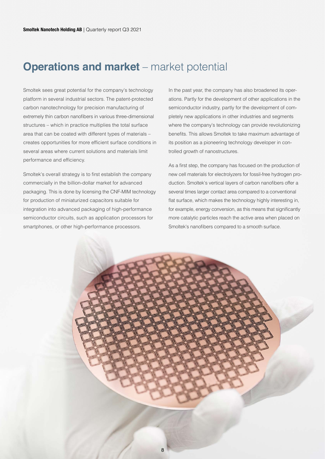### **Operations and market** – market potential

Smoltek sees great potential for the company's technology platform in several industrial sectors. The patent-protected carbon nanotechnology for precision manufacturing of extremely thin carbon nanofibers in various three-dimensional structures – which in practice multiplies the total surface area that can be coated with different types of materials – creates opportunities for more efficient surface conditions in several areas where current solutions and materials limit performance and efficiency.

Smoltek's overall strategy is to first establish the company commercially in the billion-dollar market for advanced packaging. This is done by licensing the CNF-MIM technology for production of miniaturized capacitors suitable for integration into advanced packaging of high-performance semiconductor circuits, such as application processors for smartphones, or other high-performance processors.

In the past year, the company has also broadened its operations. Partly for the development of other applications in the semiconductor industry, partly for the development of completely new applications in other industries and segments where the company's technology can provide revolutionizing benefits. This allows Smoltek to take maximum advantage of its position as a pioneering technology developer in controlled growth of nanostructures.

As a first step, the company has focused on the production of new cell materials for electrolyzers for fossil-free hydrogen production. Smoltek's vertical layers of carbon nanofibers offer a several times larger contact area compared to a conventional flat surface, which makes the technology highly interesting in, for example, energy conversion, as this means that significantly more catalytic particles reach the active area when placed on Smoltek's nanofibers compared to a smooth surface.

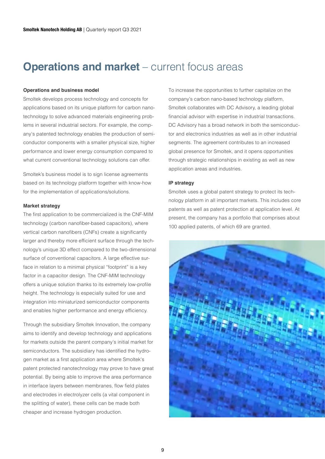### **Operations and market** – current focus areas

#### **Operations and business model**

Smoltek develops process technology and concepts for applications based on its unique platform for carbon nanotechnology to solve advanced materials engineering problems in several industrial sectors. For example, the company's patented technology enables the production of semiconductor components with a smaller physical size, higher performance and lower energy consumption compared to what current conventional technology solutions can offer.

Smoltek's business model is to sign license agreements based on its technology platform together with know-how for the implementation of applications/solutions.

#### **Market strategy**

The first application to be commercialized is the CNF-MIM technology (carbon nanofiber-based capacitors), where vertical carbon nanofibers (CNFs) create a significantly larger and thereby more efficient surface through the technology's unique 3D effect compared to the two-dimensional surface of conventional capacitors. A large effective surface in relation to a minimal physical "footprint" is a key factor in a capacitor design. The CNF-MIM technology offers a unique solution thanks to its extremely low-profile height. The technology is especially suited for use and integration into miniaturized semiconductor components and enables higher performance and energy efficiency.

Through the subsidiary Smoltek Innovation, the company aims to identify and develop technology and applications for markets outside the parent company's initial market for semiconductors. The subsidiary has identified the hydrogen market as a first application area where Smoltek's patent protected nanotechnology may prove to have great potential. By being able to improve the area performance in interface layers between membranes, flow field plates and electrodes in electrolyzer cells (a vital component in the splitting of water), these cells can be made both cheaper and increase hydrogen production.

To increase the opportunities to further capitalize on the company's carbon nano-based technology platform, Smoltek collaborates with DC Advisory, a leading global financial advisor with expertise in industrial transactions. DC Advisory has a broad network in both the semiconductor and electronics industries as well as in other industrial segments. The agreement contributes to an increased global presence for Smoltek, and it opens opportunities through strategic relationships in existing as well as new application areas and industries.

#### **IP strategy**

Smoltek uses a global patent strategy to protect its technology platform in all important markets. This includes core patents as well as patent protection at application level. At present, the company has a portfolio that comprises about 100 applied patents, of which 69 are granted.

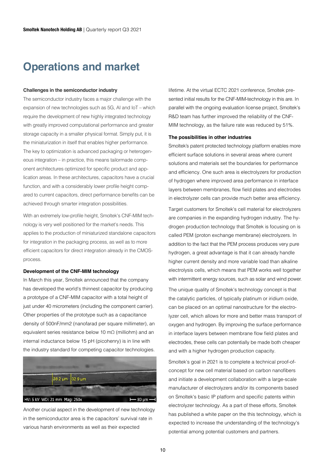### **Operations and market**

#### **Challenges in the semiconductor industry**

The semiconductor industry faces a major challenge with the expansion of new technologies such as 5G, AI and IoT – which require the development of new highly integrated technology with greatly improved computational performance and greater storage capacity in a smaller physical format. Simply put, it is the miniaturization in itself that enables higher performance. The key to optimization is advanced packaging or heterogeneous integration – in practice, this means tailormade component architectures optimized for specific product and application areas. In these architectures, capacitors have a crucial function, and with a considerably lower profile height compared to current capacitors, direct performance benefits can be achieved through smarter integration possibilities.

With an extremely low-profile height, Smoltek's CNF-MIM technology is very well positioned for the market's needs. This applies to the production of miniaturized standalone capacitors for integration in the packaging process, as well as to more efficient capacitors for direct integration already in the CMOSprocess.

#### **Development of the CNF-MIM technology**

In March this year, Smoltek announced that the company has developed the world's thinnest capacitor by producing a prototype of a CNF-MIM capacitor with a total height of just under 40 micrometers (including the component carrier). Other properties of the prototype such as a capacitance density of 500nF/mm2 (nanofarad per square millimeter), an equivalent series resistance below 10 mΩ (milliohm) and an internal inductance below 15 pH (picohenry) is in line with the industry standard for competing capacitor technologies.



Another crucial aspect in the development of new technology in the semiconductor area is the capacitors' survival rate in various harsh environments as well as their expected

lifetime. At the virtual ECTC 2021 conference, Smoltek presented initial results for the CNF-MIM-technology in this are. In parallel with the ongoing evaluation license project, Smoltek's R&D team has further improved the reliability of the CNF-MIM technology, as the failure rate was reduced by 51%.

#### **The possibilities in other industries**

Smoltek's patent protected technology platform enables more efficient surface solutions in several areas where current solutions and materials set the boundaries for performance and efficiency. One such area is electrolyzers for production of hydrogen where improved area performance in interface layers between membranes, flow field plates and electrodes in electrolyzer cells can provide much better area efficiency.

Target customers for Smoltek's cell material for electrolyzers are companies in the expanding hydrogen industry. The hydrogen production technology that Smoltek is focusing on is called PEM (proton exchange membrane) electrolyzers. In addition to the fact that the PEM process produces very pure hydrogen, a great advantage is that it can already handle higher current density and more variable load than alkaline electrolysis cells, which means that PEM works well together with intermittent energy sources, such as solar and wind power. The unique quality of Smoltek's technology concept is that the catalytic particles, of typically platinum or iridium oxide, can be placed on an optimal nanostructure for the electrolyzer cell, which allows for more and better mass transport of oxygen and hydrogen. By improving the surface performance in interface layers between membrane flow field plates and electrodes, these cells can potentially be made both cheaper and with a higher hydrogen production capacity.

Smoltek's goal in 2021 is to complete a technical proof-ofconcept for new cell material based on carbon nanofibers and initiate a development collaboration with a large-scale manufacturer of electrolyzers and/or its components based on Smoltek's basic IP platform and specific patents within electrolyzer technology. As a part of these efforts, Smoltek has published a white paper on the this technology, which is expected to increase the understanding of the technology's potential among potential customers and partners.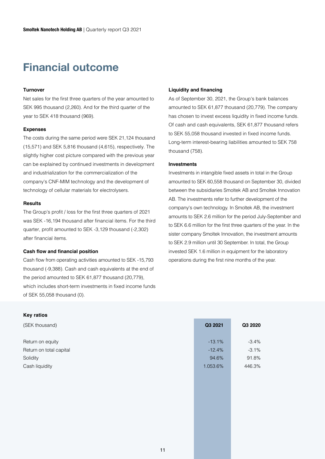### **Financial outcome**

#### **Turnover**

Net sales for the first three quarters of the year amounted to SEK 995 thousand (2,260). And for the third quarter of the year to SEK 418 thousand (969).

#### **Expenses**

The costs during the same period were SEK 21,124 thousand (15,571) and SEK 5,816 thousand (4,615), respectively. The slightly higher cost picture compared with the previous year can be explained by continued investments in development and industrialization for the commercialization of the company's CNF-MIM technology and the development of technology of cellular materials for electrolysers.

#### **Results**

The Group's profit / loss for the first three quarters of 2021 was SEK -16,194 thousand after financial items. For the third quarter, profit amounted to SEK -3,129 thousand (-2,302) after financial items.

#### **Cash flow and financial position**

Cash flow from operating activities amounted to SEK -15,793 thousand (-9,388). Cash and cash equivalents at the end of the period amounted to SEK 61,877 thousand (20,779), which includes short-term investments in fixed income funds of SEK 55,058 thousand (0).

#### **Key ratios**

(SEK thousand) **Q3 2021 Q3 2020** Return on equity and the state of the state of the state of the state of the state of the state of the state of the state of the state of the state of the state of the state of the state of the state of the state of the st Return on total capital  $-3.1\%$  -3.1% Solidity 94.6% 91.8% Cash liquidity **1.053.6%** 446.3% 446.3%

#### **Liquidity and financing**

As of September 30, 2021, the Group's bank balances amounted to SEK 61,877 thousand (20,779). The company has chosen to invest excess liquidity in fixed income funds. Of cash and cash equivalents, SEK 61,877 thousand refers to SEK 55,058 thousand invested in fixed income funds. Long-term interest-bearing liabilities amounted to SEK 758 thousand (758).

#### **Investments**

Investments in intangible fixed assets in total in the Group amounted to SEK 60,558 thousand on September 30, divided between the subsidiaries Smoltek AB and Smoltek Innovation AB. The investments refer to further development of the company's own technology. In Smoltek AB, the investment amounts to SEK 2.6 million for the period July-September and to SEK 6.6 million for the first three quarters of the year. In the sister company Smoltek Innovation, the investment amounts to SEK 2.9 million until 30 September. In total, the Group invested SEK 1.6 million in equipment for the laboratory operations during the first nine months of the year.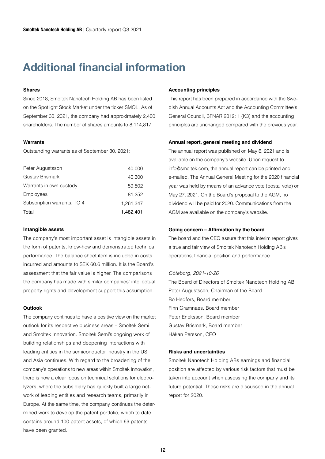### **Additional financial information**

#### **Shares**

Since 2018, Smoltek Nanotech Holding AB has been listed on the Spotlight Stock Market under the ticker SMOL. As of September 30, 2021, the company had approximately 2,400 shareholders. The number of shares amounts to 8,114,817.

#### **Warrants**

Outstanding warrants as of September 30, 2021:

| Total                       | 1,482,401 |
|-----------------------------|-----------|
| Subscription warrants, TO 4 | 1,261,347 |
| Employees                   | 81,252    |
| Warrants in own custody     | 59,502    |
| Gustav Brismark             | 40,300    |
| Peter Augustsson            | 40,000    |

#### **Intangible assets**

The company's most important asset is intangible assets in the form of patents, know-how and demonstrated technical performance. The balance sheet item is included in costs incurred and amounts to SEK 60.6 million. It is the Board's assessment that the fair value is higher. The comparisons the company has made with similar companies' intellectual property rights and development support this assumption.

#### **Outlook**

The company continues to have a positive view on the market outlook for its respective business areas – Smoltek Semi and Smoltek Innovation. Smoltek Semi's ongoing work of building relationships and deepening interactions with leading entities in the semiconductor industry in the US and Asia continues. With regard to the broadening of the company's operations to new areas within Smoltek Innovation, there is now a clear focus on technical solutions for electrolyzers, where the subsidiary has quickly built a large network of leading entities and research teams, primarily in Europe. At the same time, the company continues the determined work to develop the patent portfolio, which to date contains around 100 patent assets, of which 69 patents have been granted.

#### **Accounting principles**

This report has been prepared in accordance with the Swedish Annual Accounts Act and the Accounting Committee's General Council, BFNAR 2012: 1 (K3) and the accounting principles are unchanged compared with the previous year.

#### **Annual report, general meeting and dividend**

The annual report was published on May 6, 2021 and is available on the company's website. Upon request to info@smoltek.com, the annual report can be printed and e-mailed. The Annual General Meeting for the 2020 financial year was held by means of an advance vote (postal vote) on May 27, 2021. On the Board's proposal to the AGM, no dividend will be paid for 2020. Communications from the AGM are available on the company's website.

#### **Going concern – Affirmation by the board**

The board and the CEO assure that this interim report gives a true and fair view of Smoltek Nanotech Holding AB's operations, financial position and performance.

#### *Göteborg, 2021-10-26*

The Board of Directors of Smoltek Nanotech Holding AB Peter Augustsson, Chairman of the Board Bo Hedfors, Board member Finn Gramnaes, Board member Peter Enoksson, Board member Gustav Brismark, Board member Håkan Persson, CEO

#### **Risks and uncertainties**

Smoltek Nanotech Holding ABs earnings and financial position are affected by various risk factors that must be taken into account when assessing the company and its future potential. These risks are discussed in the annual report for 2020.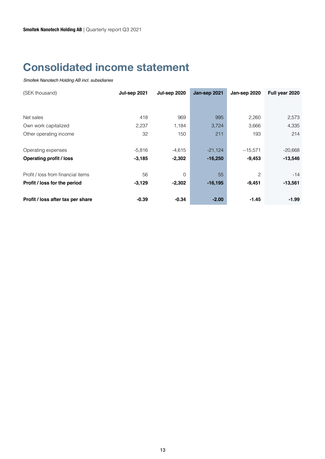### **Consolidated income statement**

| (SEK thousand)                     | Jul-sep 2021 | <b>Jul-sep 2020</b> | Jan-sep 2021 | Jan-sep 2020 | Full year 2020 |
|------------------------------------|--------------|---------------------|--------------|--------------|----------------|
|                                    |              |                     |              |              |                |
|                                    |              |                     |              |              |                |
| Net sales                          | 418          | 969                 | 995          | 2,260        | 2,573          |
| Own work capitalized               | 2,237        | 1,184               | 3,724        | 3,666        | 4,335          |
| Other operating income             | 32           | 150                 | 211          | 193          | 214            |
|                                    |              |                     |              |              |                |
| Operating expenses                 | $-5,816$     | $-4,615$            | $-21,124$    | $-15,571$    | $-20,668$      |
| <b>Operating profit / loss</b>     | $-3,185$     | $-2,302$            | $-16,250$    | $-9,453$     | $-13,546$      |
|                                    |              |                     |              |              |                |
| Profit / loss from financial items | 56           | $\Omega$            | 55           | 2            | $-14$          |
| Profit / loss for the period       | $-3,129$     | $-2,302$            | $-16,195$    | $-9,451$     | $-13,561$      |
|                                    |              |                     |              |              |                |
| Profit / loss after tax per share  | $-0.39$      | $-0.34$             | $-2.00$      | $-1.45$      | $-1.99$        |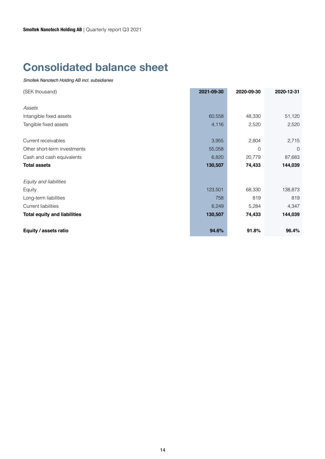### **Consolidated balance sheet**

| (SEK thousand)                      | 2021-09-30 | 2020-09-30     | 2020-12-31     |
|-------------------------------------|------------|----------------|----------------|
|                                     |            |                |                |
| Assets                              |            |                |                |
| Intangible fixed assets             | 60,558     | 48,330         | 51,120         |
| Tangible fixed assets               | 4,116      | 2,520          | 2,520          |
|                                     |            |                |                |
| Current receivables                 | 3,955      | 2,804          | 2,715          |
| Other short-term investments        | 55,058     | $\overline{0}$ | $\overline{0}$ |
| Cash and cash equivalents           | 6,820      | 20,779         | 87,683         |
| <b>Total assets</b>                 | 130,507    | 74,433         | 144,039        |
| Equity and liabilities              |            |                |                |
| Equity                              | 123,501    | 68,330         | 138,873        |
| Long-term liabilities               | 758        | 819            | 819            |
| <b>Current liabilities</b>          | 6,249      | 5,284          | 4,347          |
| <b>Total equity and liabilities</b> | 130,507    | 74,433         | 144,039        |
| Equity / assets ratio               | 94.6%      | 91.8%          | 96.4%          |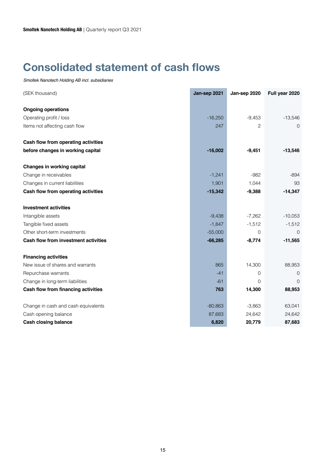### **Consolidated statement of cash flows**

| (SEK thousand)                       | Jan-sep 2021 | Jan-sep 2020   | Full year 2020 |
|--------------------------------------|--------------|----------------|----------------|
| <b>Ongoing operations</b>            |              |                |                |
| Operating profit / loss              | $-16,250$    | $-9,453$       | $-13,546$      |
| Items not affecting cash flow        | 247          | $\overline{2}$ | 0              |
|                                      |              |                |                |
| Cash flow from operating activities  |              |                |                |
| before changes in working capital    | $-16,002$    | $-9,451$       | $-13,546$      |
| <b>Changes in working capital</b>    |              |                |                |
| Change in receivables                | $-1,241$     | $-982$         | $-894$         |
| Changes in current liabilities       | 1,901        | 1,044          | 93             |
| Cash flow from operating activities  | $-15,342$    | $-9,388$       | $-14,347$      |
| <b>Investment activities</b>         |              |                |                |
| Intangible assets                    | $-9,438$     | $-7,262$       | $-10,053$      |
| Tangible fixed assets                | $-1,847$     | $-1,512$       | $-1,512$       |
| Other short-term investments         | $-55,000$    | $\Omega$       | $\Omega$       |
| Cash flow from investment activities | $-66,285$    | $-8,774$       | $-11,565$      |
| <b>Financing activities</b>          |              |                |                |
| New issue of shares and warrants     | 865          | 14,300         | 88,953         |
| Repurchase warrants                  | $-41$        | 0              | 0              |
| Change in long-term liabilities      | $-61$        | $\mathbf 0$    | $\overline{0}$ |
| Cash flow from financing activities  | 763          | 14,300         | 88,953         |
| Change in cash and cash equivalents  | $-80,863$    | $-3,863$       | 63,041         |
| Cash opening balance                 | 87,683       | 24,642         | 24,642         |
| <b>Cash closing balance</b>          | 6,820        | 20,779         | 87,683         |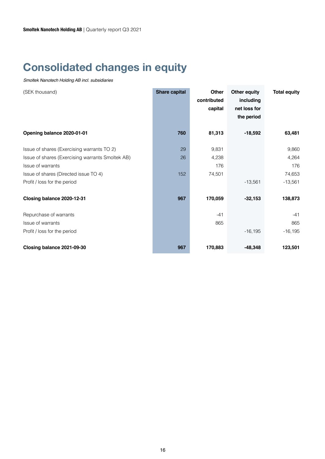### **Consolidated changes in equity**

| (SEK thousand)                                                                                                                                                                               | <b>Share capital</b> | <b>Other</b><br>contributed<br>capital | <b>Other equity</b><br>including<br>net loss for<br>the period | <b>Total equity</b>                          |
|----------------------------------------------------------------------------------------------------------------------------------------------------------------------------------------------|----------------------|----------------------------------------|----------------------------------------------------------------|----------------------------------------------|
| Opening balance 2020-01-01                                                                                                                                                                   | 760                  | 81,313                                 | $-18,592$                                                      | 63,481                                       |
| Issue of shares (Exercising warrants TO 2)<br>Issue of shares (Exercising warrants Smoltek AB)<br>Issue of warrants<br>Issue of shares (Directed issue TO 4)<br>Profit / loss for the period | 29<br>26<br>152      | 9,831<br>4,238<br>176<br>74,501        | $-13,561$                                                      | 9,860<br>4,264<br>176<br>74,653<br>$-13,561$ |
| Closing balance 2020-12-31                                                                                                                                                                   | 967                  | 170,059                                | $-32,153$                                                      | 138,873                                      |
| Repurchase of warrants<br>Issue of warrants<br>Profit / loss for the period                                                                                                                  |                      | $-41$<br>865                           | $-16, 195$                                                     | $-41$<br>865<br>$-16, 195$                   |
| Closing balance 2021-09-30                                                                                                                                                                   | 967                  | 170,883                                | $-48,348$                                                      | 123,501                                      |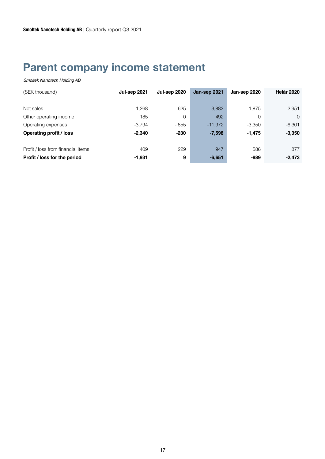### **Parent company income statement**

| (SEK thousand)                     | Jul-sep 2021 | <b>Jul-sep 2020</b> | Jan-sep 2021 | Jan-sep 2020 | <b>Helår 2020</b> |
|------------------------------------|--------------|---------------------|--------------|--------------|-------------------|
|                                    |              |                     |              |              |                   |
| Net sales                          | 1,268        | 625                 | 3,882        | 1,875        | 2,951             |
| Other operating income             | 185          | 0                   | 492          | 0            | $\Omega$          |
| Operating expenses                 | $-3.794$     | - 855               | $-11,972$    | $-3,350$     | $-6,301$          |
| <b>Operating profit / loss</b>     | $-2.340$     | $-230$              | $-7,598$     | $-1,475$     | $-3,350$          |
|                                    |              |                     |              |              |                   |
| Profit / loss from financial items | 409          | 229                 | 947          | 586          | 877               |
| Profit / loss for the period       | $-1,931$     | 9                   | $-6,651$     | -889         | $-2,473$          |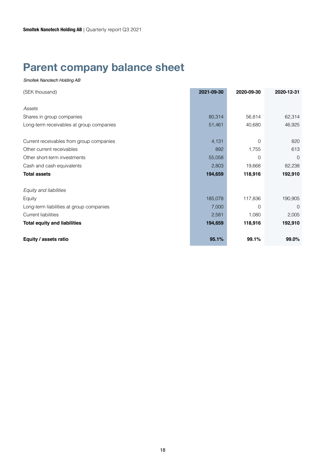### **Parent company balance sheet**

| (SEK thousand)                           | 2021-09-30 | 2020-09-30 | 2020-12-31     |
|------------------------------------------|------------|------------|----------------|
|                                          |            |            |                |
| Assets                                   |            |            |                |
| Shares in group companies                | 80,314     | 56,814     | 62,314         |
| Long-term receivables at group companies | 51,461     | 40,680     | 46,925         |
|                                          |            |            |                |
| Current receivables from group companies | 4,131      | 0          | 820            |
| Other current receivables                | 892        | 1,755      | 613            |
| Other short-term investments             | 55,058     | $\Omega$   | $\overline{0}$ |
| Cash and cash equivalents                | 2,803      | 19,668     | 82,238         |
| <b>Total assets</b>                      | 194,659    | 118,916    | 192,910        |
| Equity and liabilities                   |            |            |                |
| Equity                                   | 185,078    | 117,836    | 190,905        |
| Long-term liabilities at group companies | 7,000      | $\Omega$   | 0              |
| <b>Current liabilities</b>               | 2,581      | 1,080      | 2,005          |
| <b>Total equity and liabilities</b>      | 194,659    | 118,916    | 192,910        |
| Equity / assets ratio                    | 95.1%      | 99.1%      | 99.0%          |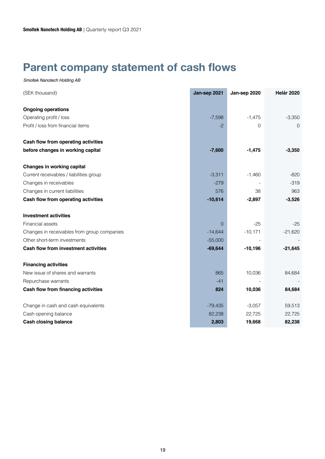### **Parent company statement of cash flows**

| (SEK thousand)                                       | Jan-sep 2021 | Jan-sep 2020               | Helår 2020 |
|------------------------------------------------------|--------------|----------------------------|------------|
|                                                      |              |                            |            |
| <b>Ongoing operations</b><br>Operating profit / loss | $-7,598$     |                            | $-3,350$   |
| Profit / loss from financial items                   | $-2$         | $-1,475$<br>$\overline{0}$ |            |
|                                                      |              |                            | $\Omega$   |
| Cash flow from operating activities                  |              |                            |            |
| before changes in working capital                    | $-7,600$     | $-1,475$                   | $-3,350$   |
| <b>Changes in working capital</b>                    |              |                            |            |
| Current receivables / liabilities group              | $-3,311$     | $-1,460$                   | $-820$     |
| Changes in receivables                               | $-279$       |                            | $-319$     |
| Changes in current liabilities                       | 576          | 38                         | 963        |
| Cash flow from operating activities                  | $-10,614$    | $-2,897$                   | $-3,526$   |
| <b>Investment activities</b>                         |              |                            |            |
| Financial assets                                     | 0            | $-25$                      | $-25$      |
| Changes in receivables from group companies          | $-14,644$    | $-10,171$                  | $-21,620$  |
| Other short-term investments                         | $-55,000$    |                            |            |
| Cash flow from investment activities                 | $-69,644$    | $-10,196$                  | $-21,645$  |
| <b>Financing activities</b>                          |              |                            |            |
| New issue of shares and warrants                     | 865          | 10,036                     | 84,684     |
| Repurchase warrants                                  | $-41$        |                            |            |
| Cash flow from financing activities                  | 824          | 10,036                     | 84,684     |
| Change in cash and cash equivalents                  | $-79,435$    | $-3,057$                   | 59,513     |
| Cash opening balance                                 | 82,238       | 22,725                     | 22,725     |
| <b>Cash closing balance</b>                          | 2,803        | 19,668                     | 82,238     |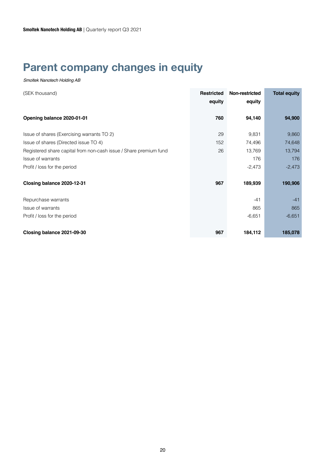### **Parent company changes in equity**

| (SEK thousand)                                                    | <b>Restricted</b><br>equity | Non-restricted<br>equity | <b>Total equity</b> |
|-------------------------------------------------------------------|-----------------------------|--------------------------|---------------------|
| Opening balance 2020-01-01                                        | 760                         | 94,140                   | 94,900              |
| Issue of shares (Exercising warrants TO 2)                        | 29                          | 9,831                    | 9,860               |
| Issue of shares (Directed issue TO 4)                             | 152                         | 74,496                   | 74,648              |
| Registered share capital from non-cash issue / Share premium fund | 26                          | 13,769                   | 13,794              |
| Issue of warrants                                                 |                             | 176                      | 176                 |
| Profit / loss for the period                                      |                             | $-2,473$                 | $-2,473$            |
| Closing balance 2020-12-31                                        | 967                         | 189,939                  | 190,906             |
| Repurchase warrants                                               |                             | $-41$                    | $-41$               |
| Issue of warrants                                                 |                             | 865                      | 865                 |
| Profit / loss for the period                                      |                             | $-6,651$                 | $-6,651$            |
| Closing balance 2021-09-30                                        | 967                         | 184,112                  | 185,078             |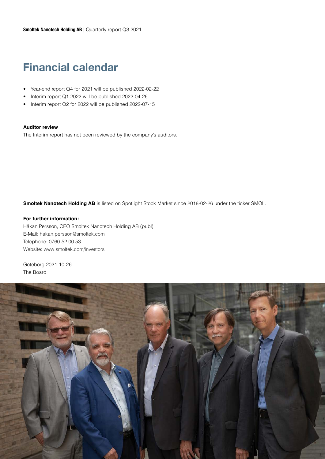### **Financial calendar**

- Year-end report Q4 for 2021 will be published 2022-02-22
- Interim report Q1 2022 will be published 2022-04-26
- Interim report Q2 for 2022 will be published 2022-07-15

#### **Auditor review**

The Interim report has not been reviewed by the company's auditors.

**Smoltek Nanotech Holding AB** is listed on Spotlight Stock Market since 2018-02-26 under the ticker SMOL.

#### **For further information:**

Håkan Persson, CEO Smoltek Nanotech Holding AB (publ) E-Mail: hakan.persson@smoltek.com Telephone: 0760-52 00 53 Website: www.smoltek.com/investors

Göteborg 2021-10-26 The Board